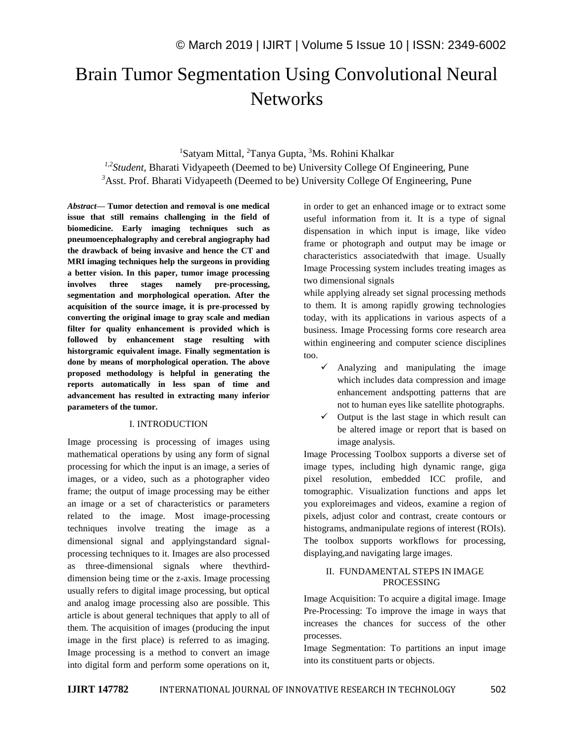# Brain Tumor Segmentation Using Convolutional Neural **Networks**

# <sup>1</sup>Satyam Mittal, <sup>2</sup>Tanya Gupta, <sup>3</sup>Ms. Rohini Khalkar <sup>1,2</sup> Student, Bharati Vidyapeeth (Deemed to be) University College Of Engineering, Pune <sup>3</sup>Asst. Prof. Bharati Vidyapeeth (Deemed to be) University College Of Engineering, Pune

*Abstract—* **Tumor detection and removal is one medical issue that still remains challenging in the field of biomedicine. Early imaging techniques such as pneumoencephalography and cerebral angiography had the drawback of being invasive and hence the CT and MRI imaging techniques help the surgeons in providing a better vision. In this paper, tumor image processing involves three stages namely pre-processing, segmentation and morphological operation. After the acquisition of the source image, it is pre-processed by converting the original image to gray scale and median filter for quality enhancement is provided which is followed by enhancement stage resulting with historgramic equivalent image. Finally segmentation is done by means of morphological operation. The above proposed methodology is helpful in generating the reports automatically in less span of time and advancement has resulted in extracting many inferior parameters of the tumor.** 

#### I. INTRODUCTION

Image processing is processing of images using mathematical operations by using any form of signal processing for which the input is an image, a series of images, or a video, such as a photographer video frame; the output of image processing may be either an image or a set of characteristics or parameters related to the image. Most image-processing techniques involve treating the image as a dimensional signal and applyingstandard signalprocessing techniques to it. Images are also processed as three-dimensional signals where thevthirddimension being time or the z-axis. Image processing usually refers to digital image processing, but optical and analog image processing also are possible. This article is about general techniques that apply to all of them. The acquisition of images (producing the input image in the first place) is referred to as imaging. Image processing is a method to convert an image into digital form and perform some operations on it,

in order to get an enhanced image or to extract some useful information from it. It is a type of signal dispensation in which input is image, like video frame or photograph and output may be image or characteristics associatedwith that image. Usually Image Processing system includes treating images as two dimensional signals

while applying already set signal processing methods to them. It is among rapidly growing technologies today, with its applications in various aspects of a business. Image Processing forms core research area within engineering and computer science disciplines too.

- Analyzing and manipulating the image which includes data compression and image enhancement andspotting patterns that are not to human eyes like satellite photographs.
- $\checkmark$  Output is the last stage in which result can be altered image or report that is based on image analysis.

Image Processing Toolbox supports a diverse set of image types, including high dynamic range, giga pixel resolution, embedded ICC profile, and tomographic. Visualization functions and apps let you exploreimages and videos, examine a region of pixels, adjust color and contrast, create contours or histograms, andmanipulate regions of interest (ROIs). The toolbox supports workflows for processing, displaying,and navigating large images.

# II. FUNDAMENTAL STEPS IN IMAGE PROCESSING

Image Acquisition: To acquire a digital image. Image Pre-Processing: To improve the image in ways that increases the chances for success of the other processes.

Image Segmentation: To partitions an input image into its constituent parts or objects.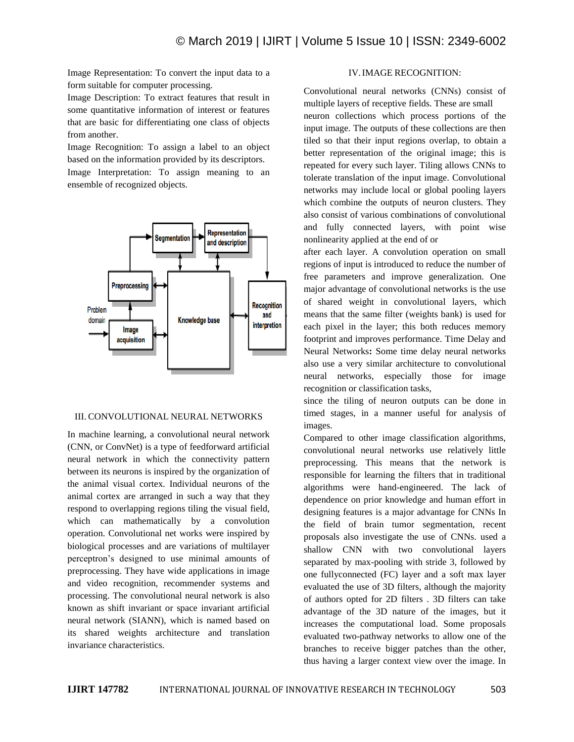Image Representation: To convert the input data to a form suitable for computer processing.

Image Description: To extract features that result in some quantitative information of interest or features that are basic for differentiating one class of objects from another.

Image Recognition: To assign a label to an object based on the information provided by its descriptors. Image Interpretation: To assign meaning to an ensemble of recognized objects.



#### III. CONVOLUTIONAL NEURAL NETWORKS

In machine learning, a convolutional neural network (CNN, or ConvNet) is a type of feedforward artificial neural network in which the connectivity pattern between its neurons is inspired by the organization of the animal visual cortex. Individual neurons of the animal cortex are arranged in such a way that they respond to overlapping regions tiling the visual field, which can mathematically by a convolution operation. Convolutional net works were inspired by biological processes and are variations of multilayer perceptron's designed to use minimal amounts of preprocessing. They have wide applications in image and video recognition, recommender systems and processing. The convolutional neural network is also known as shift invariant or space invariant artificial neural network (SIANN), which is named based on its shared weights architecture and translation invariance characteristics.

# IV.IMAGE RECOGNITION:

Convolutional neural networks (CNNs) consist of multiple layers of receptive fields. These are small

neuron collections which process portions of the input image. The outputs of these collections are then tiled so that their input regions overlap, to obtain a better representation of the original image; this is repeated for every such layer. Tiling allows CNNs to tolerate translation of the input image. Convolutional networks may include local or global pooling layers which combine the outputs of neuron clusters. They also consist of various combinations of convolutional and fully connected layers, with point wise nonlinearity applied at the end of or

after each layer. A convolution operation on small regions of input is introduced to reduce the number of free parameters and improve generalization. One major advantage of convolutional networks is the use of shared weight in convolutional layers, which means that the same filter (weights bank) is used for each pixel in the layer; this both reduces memory footprint and improves performance. Time Delay and Neural Networks**:** Some time delay neural networks also use a very similar architecture to convolutional neural networks, especially those for image recognition or classification tasks,

since the tiling of neuron outputs can be done in timed stages, in a manner useful for analysis of images.

Compared to other image classification algorithms, convolutional neural networks use relatively little preprocessing. This means that the network is responsible for learning the filters that in traditional algorithms were hand-engineered. The lack of dependence on prior knowledge and human effort in designing features is a major advantage for CNNs In the field of brain tumor segmentation, recent proposals also investigate the use of CNNs. used a shallow CNN with two convolutional layers separated by max-pooling with stride 3, followed by one fullyconnected (FC) layer and a soft max layer evaluated the use of 3D filters, although the majority of authors opted for 2D filters . 3D filters can take advantage of the 3D nature of the images, but it increases the computational load. Some proposals evaluated two-pathway networks to allow one of the branches to receive bigger patches than the other, thus having a larger context view over the image. In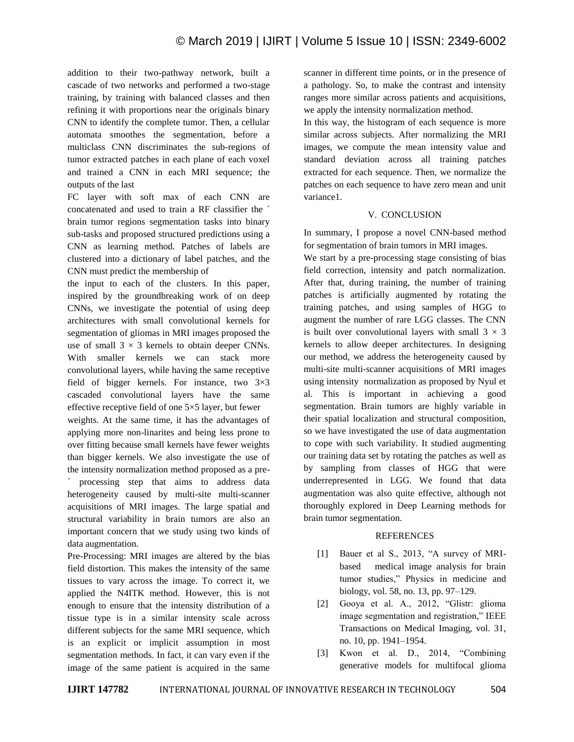addition to their two-pathway network, built a cascade of two networks and performed a two-stage training, by training with balanced classes and then refining it with proportions near the originals binary CNN to identify the complete tumor. Then, a cellular automata smoothes the segmentation, before a multiclass CNN discriminates the sub-regions of tumor extracted patches in each plane of each voxel and trained a CNN in each MRI sequence; the outputs of the last

FC layer with soft max of each CNN are concatenated and used to train a RF classifier the ´ brain tumor regions segmentation tasks into binary sub-tasks and proposed structured predictions using a CNN as learning method. Patches of labels are clustered into a dictionary of label patches, and the CNN must predict the membership of

the input to each of the clusters. In this paper, inspired by the groundbreaking work of on deep CNNs, we investigate the potential of using deep architectures with small convolutional kernels for segmentation of gliomas in MRI images proposed the use of small  $3 \times 3$  kernels to obtain deeper CNNs. With smaller kernels we can stack more convolutional layers, while having the same receptive field of bigger kernels. For instance, two 3×3 cascaded convolutional layers have the same effective receptive field of one 5×5 layer, but fewer

weights. At the same time, it has the advantages of applying more non-linarites and being less prone to over fitting because small kernels have fewer weights than bigger kernels. We also investigate the use of the intensity normalization method proposed as a pre processing step that aims to address data heterogeneity caused by multi-site multi-scanner acquisitions of MRI images. The large spatial and structural variability in brain tumors are also an important concern that we study using two kinds of data augmentation.

Pre-Processing: MRI images are altered by the bias field distortion. This makes the intensity of the same tissues to vary across the image. To correct it, we applied the N4ITK method. However, this is not enough to ensure that the intensity distribution of a tissue type is in a similar intensity scale across different subjects for the same MRI sequence, which is an explicit or implicit assumption in most segmentation methods. In fact, it can vary even if the image of the same patient is acquired in the same scanner in different time points, or in the presence of a pathology. So, to make the contrast and intensity ranges more similar across patients and acquisitions, we apply the intensity normalization method.

In this way, the histogram of each sequence is more similar across subjects. After normalizing the MRI images, we compute the mean intensity value and standard deviation across all training patches extracted for each sequence. Then, we normalize the patches on each sequence to have zero mean and unit variance1.

# V. CONCLUSION

In summary, I propose a novel CNN-based method for segmentation of brain tumors in MRI images.

We start by a pre-processing stage consisting of bias field correction, intensity and patch normalization. After that, during training, the number of training patches is artificially augmented by rotating the training patches, and using samples of HGG to augment the number of rare LGG classes. The CNN is built over convolutional layers with small  $3 \times 3$ kernels to allow deeper architectures. In designing our method, we address the heterogeneity caused by multi-site multi-scanner acquisitions of MRI images using intensity normalization as proposed by Nyul et al. This is important in achieving a good segmentation. Brain tumors are highly variable in their spatial localization and structural composition, so we have investigated the use of data augmentation to cope with such variability. It studied augmenting our training data set by rotating the patches as well as by sampling from classes of HGG that were underrepresented in LGG. We found that data augmentation was also quite effective, although not thoroughly explored in Deep Learning methods for brain tumor segmentation.

# REFERENCES

- [1] Bauer et al S., 2013, "A survey of MRIbased medical image analysis for brain tumor studies," Physics in medicine and biology, vol. 58, no. 13, pp. 97–129.
- [2] Gooya et al. A., 2012, "Glistr: glioma image segmentation and registration," IEEE Transactions on Medical Imaging, vol. 31, no. 10, pp. 1941–1954.
- [3] Kwon et al. D., 2014, "Combining generative models for multifocal glioma